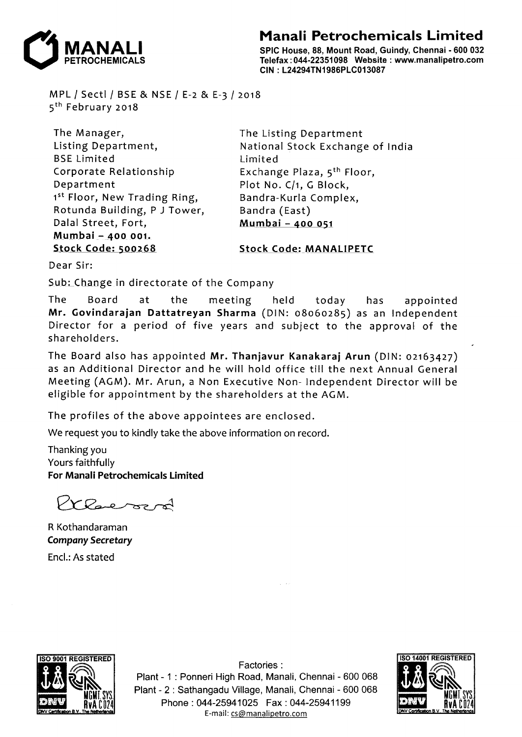## **Manali Petrochemicals Limited**



SPIC House, 88, Mount Road, Guindy, Chennai • 600 032 Telefax: 044-22351098 Website : www.manalipetro.com CIN : L24294TN1986PLC013087

MPL *I* Sect! *I* BSE & NSE *I* E-2 & E-3 *I* 2018 5<sup>th</sup> February 2018

The Manager, Listing Department, BSE Limited Corporate Relationship Department 1<sup>st</sup> Floor, New Trading Ring, Rotunda Building, P J Tower, Dalal Street, Fort, M\_umbai -AOO 001. Stock Code: 500268

The Listing Department National Stock Exchange of India Limited Exchange Plaza, 5th Floor, Plot No. C/1, G Block, Bandra-Kurla Complex, Bandra (East) Murnbai - 400 051

Stock Code: MANALIPETC

Dear Sir:

Sub: Change in directorate of the Company

The Board at the meeting held today has appointed Mr. Govindarajan Dattatreyan Sharma (DIN: 08060285) as an Independent Director for a period of five years and subject to the approval of the shareholders.

The Board also has appointed Mr. Thanjavur Kanakaraj Arun (DIN: 02163427) as an Additional Director and he will hold office till the next Annual General Meeting (AGM). Mr. Arun, a Non Executive Non- Independent Director will be eligible for appointment by the shareholders at the AGM.

The profiles of the above appointees are enclosed.

We request you to kindly take the above information on record.

Thanking you Yours faithfully For Manali Petrochemicals Limited

Cleveron

R Kothandaraman *Company Secretary*  Encl.: As stated



Factories: Plant - 1 : Ponneri High Road, Manali, Chennai - 600 068 Plant - 2 : Sathangadu Village, Manali, Chennai - 600 068 Phone: 044-25941025 Fax: 044-25941199 E-mail: cs@manalipetro.com

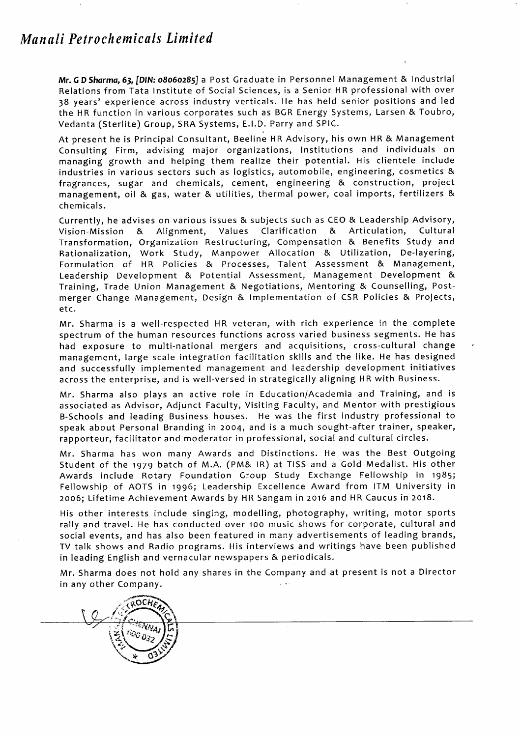## *Manali Petrochemicals Limited*

**Mr.GD** *Sharma,* **63,** *[DIN:* **08060285]** a Post Graduate in Personnel Management & Industrial Relations from Tata Institute of Social Sciences, is a Senior HR professional with over 38 years' experience across industry verticals. He has held senior positions and led the HR function in various corporates such as BGR Energy Systems, Larsen & Toubro, Vedanta (Sterlite) Group, SRA Systems, E.l.D. Parry and SPIC.

At present he is Principal Consultant, Beeline HR Advisory, his own HR & Management Consulting Firm, advising major organizations, Institutions and individuals on managing growth and helping them realize their potential. His clientele include industries in various sectors such as logistics, automobile, engineering, cosmetics & fragrances, sugar and chemicals, cement, engineering & construction, project management, oil & gas, water & utilities, thermal power, coal imports, fertilizers & chemicals.

Currently, he advises on various issues & subjects such as CEO & Leadership Advisory, Vision-Mission & Alignment, Values Clarification & Articulation, Cultural Transformation, Organization Restructuring, Compensation & Benefits Study and Rationalization, Work Study, Manpower Allocation & Utilization, De-layering, Formulation of HR Policies & Processes, Talent Assessment & Management, Leadership Development & Potential Assessment, Management Development & Training, Trade Union Management & Negotiations, Mentoring & Counselling, Postmerger Change Management, Design & Implementation of CSR Policies & Projects, etc.

Mr. Sharma is a well-respected HR veteran, with rich experience in the complete spectrum of the human resources functions across varied business segments. He has had exposure to multi-national mergers and acquisitions, cross-cultural change management, large scale integration facilitation skills and the like. He has designed and successfully implemented management and leadership development initiatives across the enterprise, and is well-versed in strategically aligning HR with Business.

Mr. Sharma also plays an active role in Education/Academia and Training, and is associated as Advisor, Adjunct Faculty, Visiting Faculty, and Mentor with prestigious B-Schools and leading Business houses. He was the first industry professional to speak about Personal Branding in 2004, and is a much sought-after trainer, speaker, rapporteur, facilitator and moderator in professional, social and cultural circles.

Mr. Sharma has won many Awards and Distinctions. He was the Best Outgoing Student of the 1979 batch of M.A. (PM& IR) at TISS and a Gold Medalist. His other Awards include Rotary Foundation Group Study Exchange Fellowship in 1985; Fellowship of AOTS in 1996; Leadership Excellence Award from ITM University in 2006; Lifetime Achievement Awards by HR Sangam in 2016 and HR Caucus in 2018.

His other interests include singing, modelling, photography, writing, motor sports rally and travel. He has conducted over 100 music shows for corporate, cultural and social events, and has also been featured in many advertisements of leading brands, TV talk shows and Radio programs. His interviews and writings have been published in leading English and vernacular newspapers & periodicals.

Mr. Sharma does not hold any shares in the Company and at present is not a Director in any other Company.  $\frac{1}{2}$  ,  $\frac{1}{2}$  ,

**QOCHA** 600 032